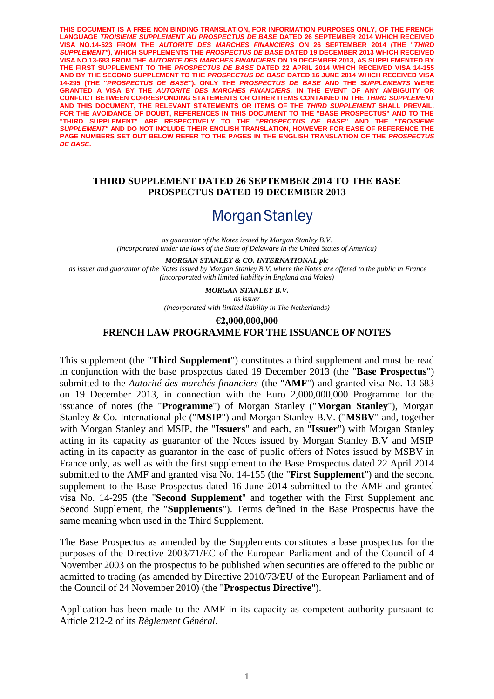**THIS DOCUMENT IS A FREE NON BINDING TRANSLATION, FOR INFORMATION PURPOSES ONLY, OF THE FRENCH LANGUAGE** *TROISIEME SUPPLEMENT AU PROSPECTUS DE BASE* **DATED 26 SEPTEMBER 2014 WHICH RECEIVED VISA NO.14-523 FROM THE** *AUTORITE DES MARCHES FINANCIERS* **ON 26 SEPTEMBER 2014 (THE "***THIRD SUPPLEMENT"***), WHICH SUPPLEMENTS THE** *PROSPECTUS DE BASE* **DATED 19 DECEMBER 2013 WHICH RECEIVED VISA NO.13-683 FROM THE** *AUTORITE DES MARCHES FINANCIERS* **ON 19 DECEMBER 2013, AS SUPPLEMENTED BY THE FIRST SUPPLEMENT TO THE** *PROSPECTUS DE BASE* **DATED 22 APRIL 2014 WHICH RECEIVED VISA 14-155 AND BY THE SECOND SUPPLEMENT TO THE** *PROSPECTUS DE BASE* **DATED 16 JUNE 2014 WHICH RECEIVED VISA 14-295 (THE "***PROSPECTUS DE BASE"***). ONLY THE** *PROSPECTUS DE BASE* **AND THE** *SUPPLEMENTS* **WERE GRANTED A VISA BY THE** *AUTORITE DES MARCHES FINANCIERS.* **IN THE EVENT OF ANY AMBIGUITY OR CONFLICT BETWEEN CORRESPONDING STATEMENTS OR OTHER ITEMS CONTAINED IN THE** *THIRD SUPPLEMENT*  **AND THIS DOCUMENT, THE RELEVANT STATEMENTS OR ITEMS OF THE** *THIRD SUPPLEMENT* **SHALL PREVAIL.**  FOR THE AVOIDANCE OF DOUBT, REFERENCES IN THIS DOCUMENT TO THE "BASE PROSPECTUS" AND TO THE **"THIRD SUPPLEMENT" ARE RESPECTIVELY TO THE "***PROSPECTUS DE BASE***" AND THE "***TROISIEME SUPPLEMENT"* **AND DO NOT INCLUDE THEIR ENGLISH TRANSLATION, HOWEVER FOR EASE OF REFERENCE THE PAGE NUMBERS SET OUT BELOW REFER TO THE PAGES IN THE ENGLISH TRANSLATION OF THE** *PROSPECTUS DE BASE***.**

## **THIRD SUPPLEMENT DATED 26 SEPTEMBER 2014 TO THE BASE PROSPECTUS DATED 19 DECEMBER 2013**

# **Morgan Stanley**

*as guarantor of the Notes issued by Morgan Stanley B.V. (incorporated under the laws of the State of Delaware in the United States of America)*

*MORGAN STANLEY & CO. INTERNATIONAL plc as issuer and guarantor of the Notes issued by Morgan Stanley B.V. where the Notes are offered to the public in France (incorporated with limited liability in England and Wales)*

> *MORGAN STANLEY B.V. as issuer (incorporated with limited liability in The Netherlands)*

## **€2,000,000,000 FRENCH LAW PROGRAMME FOR THE ISSUANCE OF NOTES**

This supplement (the "**Third Supplement**") constitutes a third supplement and must be read in conjunction with the base prospectus dated 19 December 2013 (the "**Base Prospectus**") submitted to the *Autorité des marchés financiers* (the "**AMF**") and granted visa No. 13-683 on 19 December 2013, in connection with the Euro 2,000,000,000 Programme for the issuance of notes (the "**Programme**") of Morgan Stanley ("**Morgan Stanley**"), Morgan Stanley & Co. International plc ("**MSIP**") and Morgan Stanley B.V. ("**MSBV**" and, together with Morgan Stanley and MSIP, the "**Issuers**" and each, an "**Issuer**") with Morgan Stanley acting in its capacity as guarantor of the Notes issued by Morgan Stanley B.V and MSIP acting in its capacity as guarantor in the case of public offers of Notes issued by MSBV in France only, as well as with the first supplement to the Base Prospectus dated 22 April 2014 submitted to the AMF and granted visa No. 14-155 (the "**First Supplement**") and the second supplement to the Base Prospectus dated 16 June 2014 submitted to the AMF and granted visa No. 14-295 (the "**Second Supplement**" and together with the First Supplement and Second Supplement, the "**Supplements**"). Terms defined in the Base Prospectus have the same meaning when used in the Third Supplement.

The Base Prospectus as amended by the Supplements constitutes a base prospectus for the purposes of the Directive 2003/71/EC of the European Parliament and of the Council of 4 November 2003 on the prospectus to be published when securities are offered to the public or admitted to trading (as amended by Directive 2010/73/EU of the European Parliament and of the Council of 24 November 2010) (the "**Prospectus Directive**").

Application has been made to the AMF in its capacity as competent authority pursuant to Article 212-2 of its *Règlement Général.*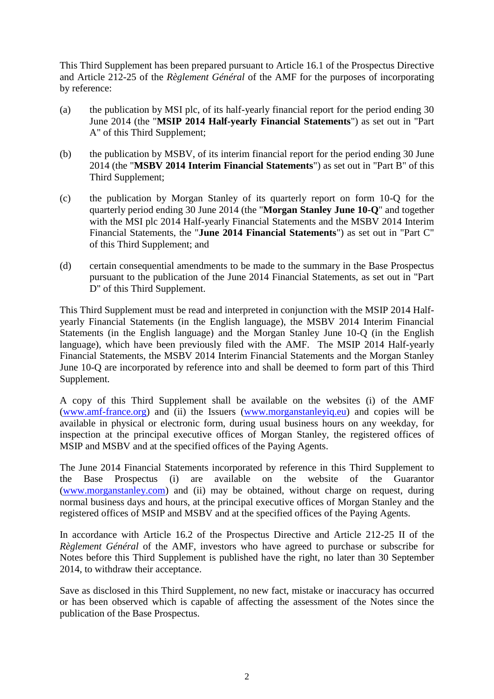This Third Supplement has been prepared pursuant to Article 16.1 of the Prospectus Directive and Article 212-25 of the *Règlement Général* of the AMF for the purposes of incorporating by reference:

- (a) the publication by MSI plc, of its half-yearly financial report for the period ending 30 June 2014 (the "**MSIP 2014 Half-yearly Financial Statements**") as set out in "Part A" of this Third Supplement;
- (b) the publication by MSBV, of its interim financial report for the period ending 30 June 2014 (the "**MSBV 2014 Interim Financial Statements**") as set out in "Part B" of this Third Supplement;
- (c) the publication by Morgan Stanley of its quarterly report on form 10-Q for the quarterly period ending 30 June 2014 (the "**Morgan Stanley June 10-Q**" and together with the MSI plc 2014 Half-yearly Financial Statements and the MSBV 2014 Interim Financial Statements, the "**June 2014 Financial Statements**") as set out in "Part C" of this Third Supplement; and
- (d) certain consequential amendments to be made to the summary in the Base Prospectus pursuant to the publication of the June 2014 Financial Statements, as set out in "Part D" of this Third Supplement.

This Third Supplement must be read and interpreted in conjunction with the MSIP 2014 Halfyearly Financial Statements (in the English language), the MSBV 2014 Interim Financial Statements (in the English language) and the Morgan Stanley June 10-Q (in the English language), which have been previously filed with the AMF. The MSIP 2014 Half-yearly Financial Statements, the MSBV 2014 Interim Financial Statements and the Morgan Stanley June 10-Q are incorporated by reference into and shall be deemed to form part of this Third Supplement.

A copy of this Third Supplement shall be available on the websites (i) of the AMF (www.amf-france.org) and (ii) the Issuers (www.morganstanleyiq.eu) and copies will be available in physical or electronic form, during usual business hours on any weekday, for inspection at the principal executive offices of Morgan Stanley, the registered offices of MSIP and MSBV and at the specified offices of the Paying Agents.

The June 2014 Financial Statements incorporated by reference in this Third Supplement to the Base Prospectus (i) are available on the website of the Guarantor (www.morganstanley.com) and (ii) may be obtained, without charge on request, during normal business days and hours, at the principal executive offices of Morgan Stanley and the registered offices of MSIP and MSBV and at the specified offices of the Paying Agents.

In accordance with Article 16.2 of the Prospectus Directive and Article 212-25 II of the *Règlement Général* of the AMF, investors who have agreed to purchase or subscribe for Notes before this Third Supplement is published have the right, no later than 30 September 2014, to withdraw their acceptance.

Save as disclosed in this Third Supplement, no new fact, mistake or inaccuracy has occurred or has been observed which is capable of affecting the assessment of the Notes since the publication of the Base Prospectus.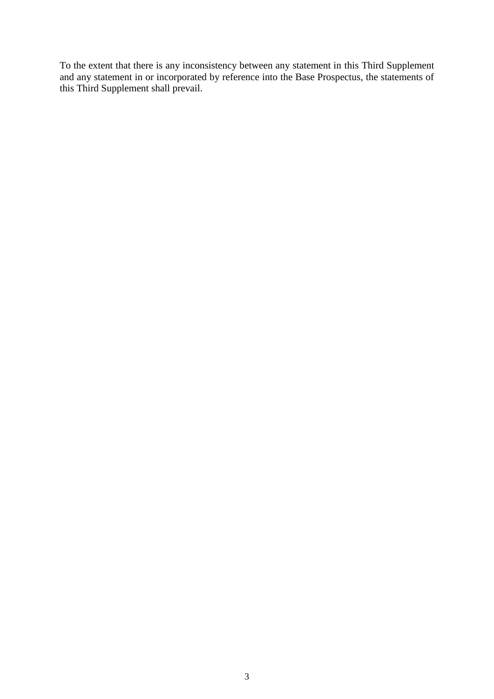To the extent that there is any inconsistency between any statement in this Third Supplement and any statement in or incorporated by reference into the Base Prospectus, the statements of this Third Supplement shall prevail.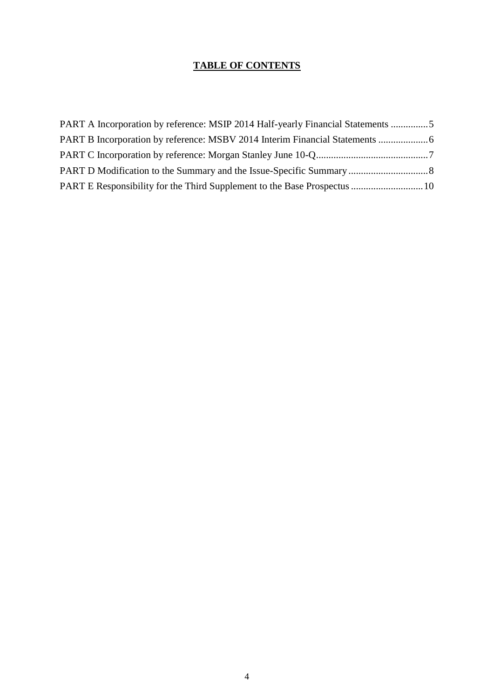## **TABLE OF CONTENTS**

| PART A Incorporation by reference: MSIP 2014 Half-yearly Financial Statements 5 |  |
|---------------------------------------------------------------------------------|--|
|                                                                                 |  |
|                                                                                 |  |
|                                                                                 |  |
|                                                                                 |  |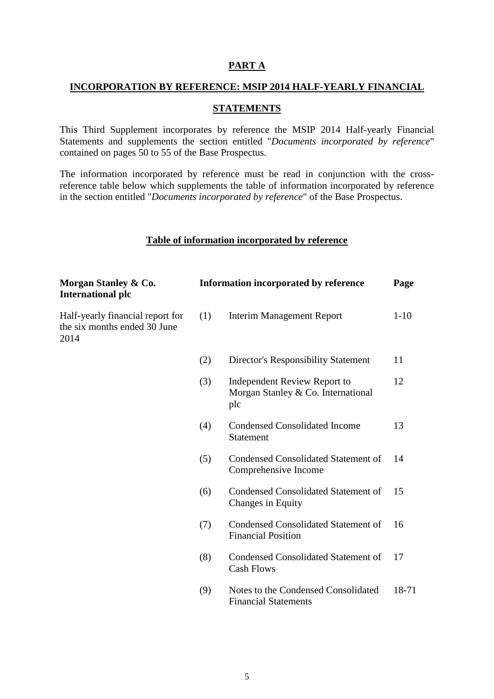## **PART A**

#### **INCORPORATION BY REFERENCE: MSIP 2014 HALF-YEARLY FINANCIAL**

## **STATEMENTS**

This Third Supplement incorporates by reference the MSIP 2014 Half-yearly Financial Statements and supplements the section entitled "*Documents incorporated by reference*" contained on pages 50 to 55 of the Base Prospectus.

The information incorporated by reference must be read in conjunction with the crossreference table below which supplements the table of information incorporated by reference in the section entitled "*Documents incorporated by reference*" of the Base Prospectus.

#### **Table of information incorporated by reference**

| Morgan Stanley & Co.<br><b>International plc</b>                         |     | <b>Information incorporated by reference</b>                              | Page     |
|--------------------------------------------------------------------------|-----|---------------------------------------------------------------------------|----------|
| Half-yearly financial report for<br>the six months ended 30 June<br>2014 | (1) | <b>Interim Management Report</b>                                          | $1 - 10$ |
|                                                                          | (2) | Director's Responsibility Statement                                       | 11       |
|                                                                          | (3) | Independent Review Report to<br>Morgan Stanley & Co. International<br>plc | 12       |
|                                                                          | (4) | <b>Condensed Consolidated Income</b><br><b>Statement</b>                  | 13       |
|                                                                          | (5) | <b>Condensed Consolidated Statement of</b><br>Comprehensive Income        | 14       |
|                                                                          | (6) | <b>Condensed Consolidated Statement of</b><br>Changes in Equity           | 15       |
|                                                                          | (7) | <b>Condensed Consolidated Statement of</b><br><b>Financial Position</b>   | 16       |
|                                                                          | (8) | <b>Condensed Consolidated Statement of</b><br><b>Cash Flows</b>           | 17       |
|                                                                          | (9) | Notes to the Condensed Consolidated<br><b>Financial Statements</b>        | 18-71    |
|                                                                          |     |                                                                           |          |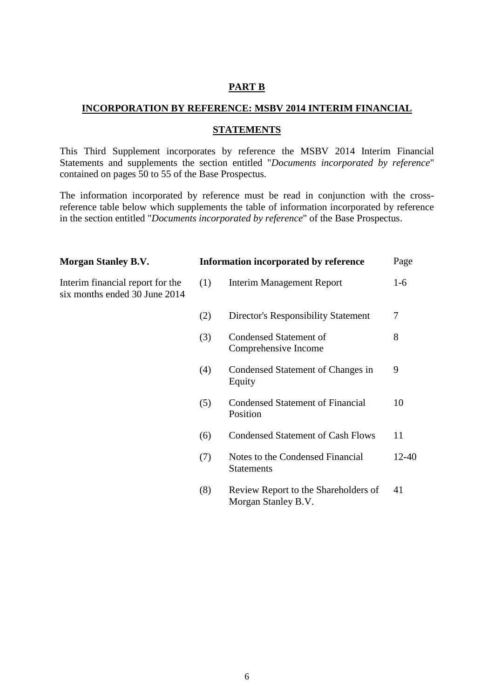#### **PART B**

#### **INCORPORATION BY REFERENCE: MSBV 2014 INTERIM FINANCIAL**

#### **STATEMENTS**

This Third Supplement incorporates by reference the MSBV 2014 Interim Financial Statements and supplements the section entitled "*Documents incorporated by reference*" contained on pages 50 to 55 of the Base Prospectus.

The information incorporated by reference must be read in conjunction with the crossreference table below which supplements the table of information incorporated by reference in the section entitled "*Documents incorporated by reference*" of the Base Prospectus.

| <b>Morgan Stanley B.V.</b>                                        |     | Information incorporated by reference                       | Page      |
|-------------------------------------------------------------------|-----|-------------------------------------------------------------|-----------|
| Interim financial report for the<br>six months ended 30 June 2014 | (1) | Interim Management Report                                   | $1-6$     |
|                                                                   | (2) | <b>Director's Responsibility Statement</b>                  | 7         |
|                                                                   | (3) | Condensed Statement of<br>Comprehensive Income              | 8         |
|                                                                   | (4) | Condensed Statement of Changes in<br>Equity                 | 9         |
|                                                                   | (5) | <b>Condensed Statement of Financial</b><br>Position         | 10        |
|                                                                   | (6) | <b>Condensed Statement of Cash Flows</b>                    | 11        |
|                                                                   | (7) | Notes to the Condensed Financial<br><b>Statements</b>       | $12 - 40$ |
|                                                                   | (8) | Review Report to the Shareholders of<br>Morgan Stanley B.V. | 41        |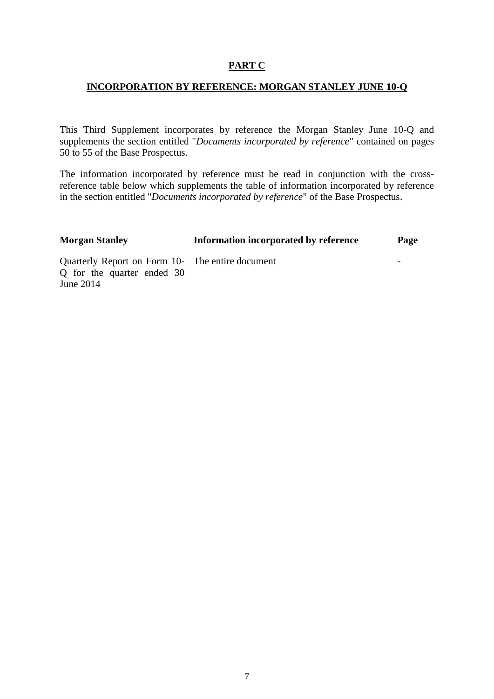## **PART C**

## **INCORPORATION BY REFERENCE: MORGAN STANLEY JUNE 10-Q**

This Third Supplement incorporates by reference the Morgan Stanley June 10-Q and supplements the section entitled "*Documents incorporated by reference*" contained on pages 50 to 55 of the Base Prospectus.

The information incorporated by reference must be read in conjunction with the crossreference table below which supplements the table of information incorporated by reference in the section entitled "*Documents incorporated by reference*" of the Base Prospectus.

| <b>Morgan Stanley</b>                                                                       | Information incorporated by reference | Page                     |
|---------------------------------------------------------------------------------------------|---------------------------------------|--------------------------|
| Quarterly Report on Form 10- The entire document<br>Q for the quarter ended 30<br>June 2014 |                                       | $\overline{\phantom{0}}$ |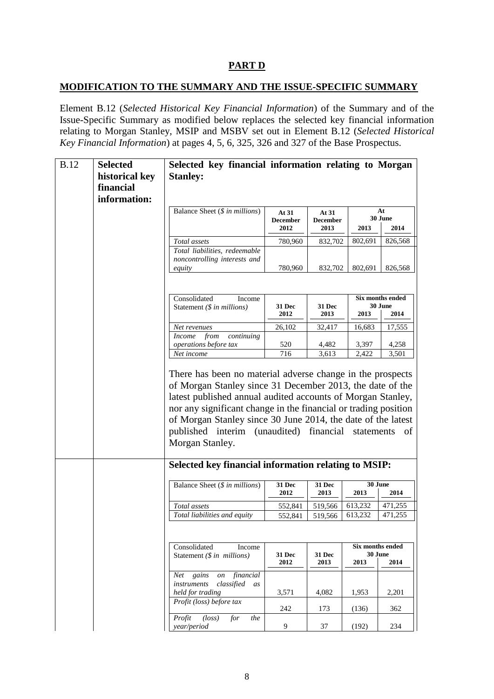## **PART D**

## **MODIFICATION TO THE SUMMARY AND THE ISSUE-SPECIFIC SUMMARY**

Element B.12 (*Selected Historical Key Financial Information*) of the Summary and of the Issue-Specific Summary as modified below replaces the selected key financial information relating to Morgan Stanley, MSIP and MSBV set out in Element B.12 (*Selected Historical Key Financial Information*) at pages 4, 5, 6, 325, 326 and 327 of the Base Prospectus.

| <b>B.12</b> | <b>Selected</b>                                                 | Selected key financial information relating to Morgan                 |                 |                                                              |                             |                                                                 |
|-------------|-----------------------------------------------------------------|-----------------------------------------------------------------------|-----------------|--------------------------------------------------------------|-----------------------------|-----------------------------------------------------------------|
|             | historical key                                                  | <b>Stanley:</b>                                                       |                 |                                                              |                             |                                                                 |
|             | financial                                                       |                                                                       |                 |                                                              |                             |                                                                 |
|             | information:                                                    |                                                                       |                 |                                                              |                             |                                                                 |
|             | Balance Sheet $(\text{$$ in millions})$<br>At<br>At 31<br>At 31 |                                                                       |                 |                                                              |                             |                                                                 |
|             |                                                                 |                                                                       | <b>December</b> | <b>December</b>                                              |                             | 30 June                                                         |
|             |                                                                 |                                                                       | 2012            | 2013                                                         | 2013                        | 2014                                                            |
|             |                                                                 | Total assets                                                          | 780,960         | 832,702                                                      | 802,691                     | 826,568                                                         |
|             |                                                                 | Total liabilities, redeemable                                         |                 |                                                              |                             |                                                                 |
|             |                                                                 | noncontrolling interests and                                          |                 |                                                              |                             |                                                                 |
|             |                                                                 | equity                                                                | 780,960         | 832,702                                                      | 802,691                     | 826,568                                                         |
|             |                                                                 |                                                                       |                 |                                                              |                             |                                                                 |
|             |                                                                 | Consolidated<br>Income                                                |                 |                                                              |                             |                                                                 |
|             |                                                                 | Statement (\$ in millions)                                            | 31 Dec          | 31 Dec                                                       | Six months ended<br>30 June |                                                                 |
|             |                                                                 |                                                                       | 2012            | 2013                                                         | 2013                        | 2014                                                            |
|             |                                                                 | Net revenues                                                          | 26,102          | 32,417                                                       | 16,683                      | 17,555                                                          |
|             |                                                                 | continuing<br><i>Income</i><br>from                                   |                 |                                                              |                             |                                                                 |
|             |                                                                 | operations before tax                                                 | 520             | 4,482                                                        | 3,397                       | 4,258                                                           |
|             |                                                                 | Net income                                                            | 716             | 3,613                                                        | 2,422                       | 3,501                                                           |
|             |                                                                 |                                                                       |                 | of Morgan Stanley since 30 June 2014, the date of the latest |                             | nor any significant change in the financial or trading position |
|             |                                                                 | published interim (unaudited) financial statements<br>Morgan Stanley. |                 |                                                              |                             | - of                                                            |
|             |                                                                 | Selected key financial information relating to MSIP:                  |                 |                                                              |                             |                                                                 |
|             |                                                                 | Balance Sheet (\$ in millions)                                        | 31 Dec<br>2012  | 31 Dec<br>2013                                               | 30 June<br>2013             | 2014                                                            |
|             |                                                                 | Total assets                                                          |                 |                                                              |                             |                                                                 |
|             |                                                                 | Total liabilities and equity                                          | 552,841         | 519,566                                                      | 613,232<br>613,232          | 471,255<br>471,255                                              |
|             |                                                                 |                                                                       | 552,841         | 519,566                                                      |                             |                                                                 |
|             |                                                                 | Consolidated<br>Income                                                |                 |                                                              | Six months ended            |                                                                 |
|             |                                                                 | Statement $(\$ in \ millions)$                                        | 31 Dec          | 31 Dec                                                       | 30 June                     |                                                                 |
|             |                                                                 |                                                                       | 2012            | 2013                                                         | 2013                        | 2014                                                            |
|             |                                                                 | on financial<br>Net gains<br>instruments<br>classified<br>as          |                 |                                                              |                             |                                                                 |
|             |                                                                 | held for trading                                                      | 3,571           | 4,082                                                        | 1,953                       | 2,201                                                           |
|             |                                                                 | Profit (loss) before tax                                              | 242             | 173                                                          | (136)                       | 362                                                             |
|             |                                                                 | $(\text{loss})$<br>Profit<br>for<br>the<br>year/period                | 9               | 37                                                           | (192)                       | 234                                                             |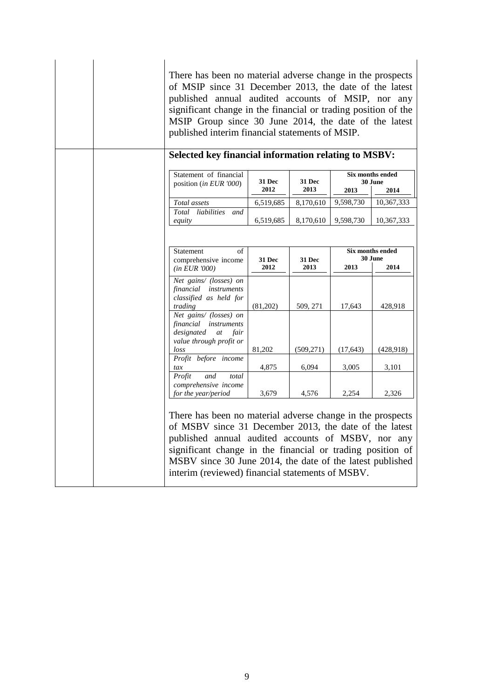| There has been no material adverse change in the prospects<br>of MSIP since 31 December 2013, the date of the latest<br>published annual audited accounts of MSIP, nor any<br>significant change in the financial or trading position of the<br>MSIP Group since 30 June 2014, the date of the latest<br>published interim financial statements of MSIP.  |                |                |                             |            |  |
|-----------------------------------------------------------------------------------------------------------------------------------------------------------------------------------------------------------------------------------------------------------------------------------------------------------------------------------------------------------|----------------|----------------|-----------------------------|------------|--|
| <b>Selected key financial information relating to MSBV:</b><br>Statement of financial<br>position (in EUR '000)                                                                                                                                                                                                                                           | 31 Dec<br>2012 | 31 Dec<br>2013 | Six months ended<br>30 June |            |  |
|                                                                                                                                                                                                                                                                                                                                                           |                |                | 2013                        | 2014       |  |
| Total assets<br>Total<br>liabilities<br>and                                                                                                                                                                                                                                                                                                               | 6,519,685      | 8,170,610      | 9,598,730                   | 10,367,333 |  |
| equity                                                                                                                                                                                                                                                                                                                                                    | 6,519,685      | 8,170,610      | 9,598,730                   | 10,367,333 |  |
| (in EUR 7000)<br>Net gains/ (losses) on<br>financial instruments<br>classified as held for                                                                                                                                                                                                                                                                | 2012           | 2013           | 2013                        | 2014       |  |
| trading<br>Net gains/ (losses) on<br>financial instruments<br>designated<br>at fair<br>value through profit or                                                                                                                                                                                                                                            | (81,202)       | 509, 271       | 17,643                      | 428,918    |  |
| loss                                                                                                                                                                                                                                                                                                                                                      | 81,202         | (509, 271)     | (17, 643)                   | (428, 918) |  |
| Profit before income<br>tax                                                                                                                                                                                                                                                                                                                               | 4,875          | 6,094          | 3,005                       | 3,101      |  |
| Profit<br>and<br>total<br>comprehensive income<br>for the year/period                                                                                                                                                                                                                                                                                     | 3,679          | 4,576          | 2,254                       | 2,326      |  |
| There has been no material adverse change in the prospects<br>of MSBV since 31 December 2013, the date of the latest<br>published annual audited accounts of MSBV, nor any<br>significant change in the financial or trading position of<br>MSBV since 30 June 2014, the date of the latest published<br>interim (reviewed) financial statements of MSBV. |                |                |                             |            |  |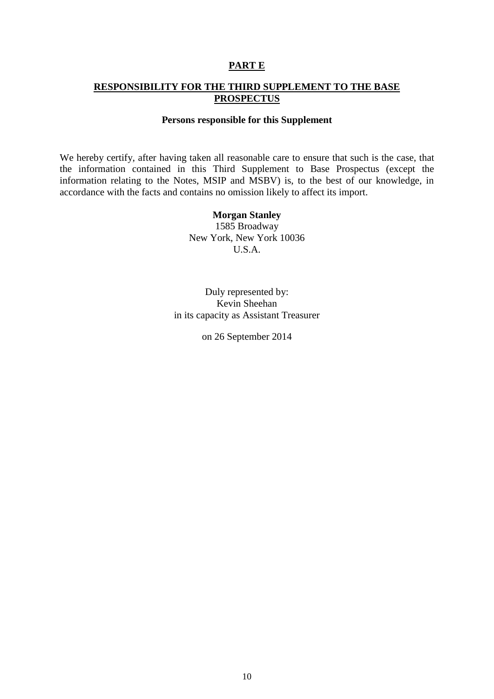## **PART E**

## **RESPONSIBILITY FOR THE THIRD SUPPLEMENT TO THE BASE PROSPECTUS**

#### **Persons responsible for this Supplement**

We hereby certify, after having taken all reasonable care to ensure that such is the case, that the information contained in this Third Supplement to Base Prospectus (except the information relating to the Notes, MSIP and MSBV) is, to the best of our knowledge, in accordance with the facts and contains no omission likely to affect its import.

> **Morgan Stanley** 1585 Broadway New York, New York 10036 U.S.A.

Duly represented by: Kevin Sheehan in its capacity as Assistant Treasurer

on 26 September 2014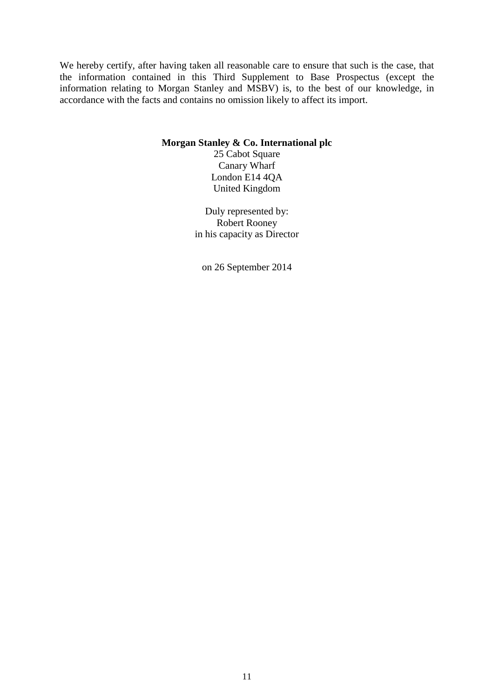We hereby certify, after having taken all reasonable care to ensure that such is the case, that the information contained in this Third Supplement to Base Prospectus (except the information relating to Morgan Stanley and MSBV) is, to the best of our knowledge, in accordance with the facts and contains no omission likely to affect its import.

#### **Morgan Stanley & Co. International plc**

25 Cabot Square Canary Wharf London E14 4QA United Kingdom

Duly represented by: Robert Rooney in his capacity as Director

on 26 September 2014